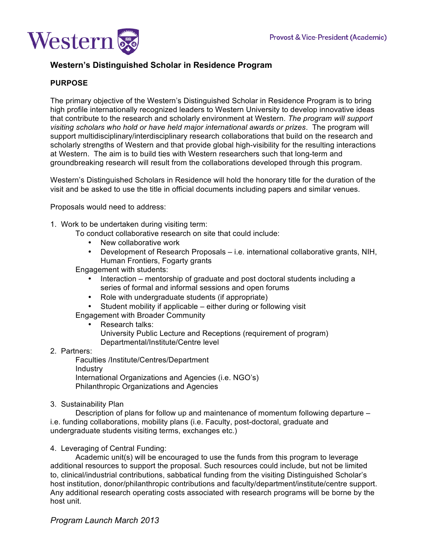

# **Western's Distinguished Scholar in Residence Program**

# **PURPOSE**

The primary objective of the Western's Distinguished Scholar in Residence Program is to bring high profile internationally recognized leaders to Western University to develop innovative ideas that contribute to the research and scholarly environment at Western. *The program will support visiting scholars who hold or have held major international awards or prizes*. The program will support multidisciplinary/interdisciplinary research collaborations that build on the research and scholarly strengths of Western and that provide global high-visibility for the resulting interactions at Western. The aim is to build ties with Western researchers such that long-term and groundbreaking research will result from the collaborations developed through this program.

Western's Distinguished Scholars in Residence will hold the honorary title for the duration of the visit and be asked to use the title in official documents including papers and similar venues.

Proposals would need to address:

1. Work to be undertaken during visiting term:

To conduct collaborative research on site that could include:

- New collaborative work
- Development of Research Proposals i.e. international collaborative grants, NIH, Human Frontiers, Fogarty grants

Engagement with students:

- Interaction mentorship of graduate and post doctoral students including a series of formal and informal sessions and open forums
- Role with undergraduate students (if appropriate)
- Student mobility if applicable either during or following visit

Engagement with Broader Community

- Research talks: University Public Lecture and Receptions (requirement of program) Departmental/Institute/Centre level
- 2. Partners:

Faculties /Institute/Centres/Department Industry International Organizations and Agencies (i.e. NGO's) Philanthropic Organizations and Agencies

3. Sustainability Plan

Description of plans for follow up and maintenance of momentum following departure – i.e. funding collaborations, mobility plans (i.e. Faculty, post-doctoral, graduate and undergraduate students visiting terms, exchanges etc.)

4. Leveraging of Central Funding:

Academic unit(s) will be encouraged to use the funds from this program to leverage additional resources to support the proposal. Such resources could include, but not be limited to, clinical/industrial contributions, sabbatical funding from the visiting Distinguished Scholar's host institution, donor/philanthropic contributions and faculty/department/institute/centre support. Any additional research operating costs associated with research programs will be borne by the host unit.